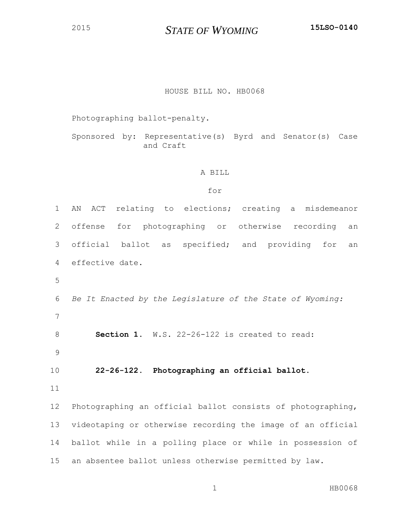*STATE OF WYOMING* **15LSO-0140**

## HOUSE BILL NO. HB0068

Photographing ballot-penalty.

Sponsored by: Representative(s) Byrd and Senator(s) Case and Craft

## A BILL

## for

| $\mathbf 1$ | ACT relating to elections; creating a misdemeanor<br>ΑN     |
|-------------|-------------------------------------------------------------|
| 2           | for photographing or otherwise recording<br>offense<br>an   |
| 3           | official ballot as specified; and providing for<br>an       |
| 4           | effective date.                                             |
| 5           |                                                             |
| 6           | Be It Enacted by the Legislature of the State of Wyoming:   |
| 7           |                                                             |
| $\,8\,$     | Section 1. W.S. 22-26-122 is created to read:               |
| 9           |                                                             |
| 10          | 22-26-122. Photographing an official ballot.                |
| 11          |                                                             |
| 12          | Photographing an official ballot consists of photographing, |
| 13          | videotaping or otherwise recording the image of an official |
| 14          | ballot while in a polling place or while in possession of   |
| 15          | an absentee ballot unless otherwise permitted by law.       |